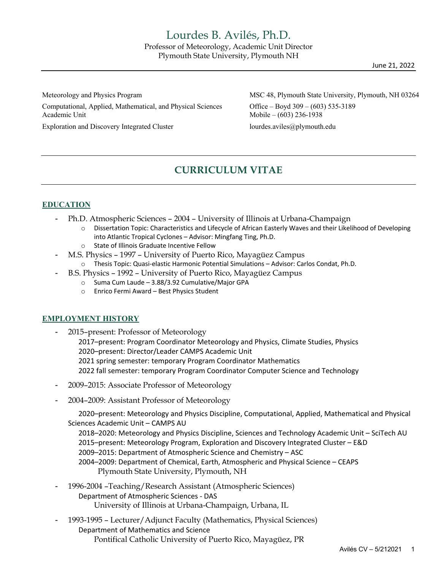June 21, 2022

Computational, Applied, Mathematical, and Physical Sciences Office – Boyd 309 – (603) 535-3189 Academic Unit **Mobile – (603)** 236-1938

Exploration and Discovery Integrated Cluster lourdes.aviles@plymouth.edu

MSC 48, Plymouth State University, Plymouth, NH 03264

# **CURRICULUM VITAE**

## **EDUCATION**

- Ph.D. Atmospheric Sciences 2004 University of Illinois at Urbana-Champaign
	- o Dissertation Topic: Characteristics and Lifecycle of African Easterly Waves and their Likelihood of Developing into Atlantic Tropical Cyclones – Advisor: Mingfang Ting, Ph.D.
	- o State of Illinois Graduate Incentive Fellow
- M.S. Physics 1997 University of Puerto Rico, Mayagüez Campus
	- o Thesis Topic: Quasi-elastic Harmonic Potential Simulations Advisor: Carlos Condat, Ph.D.
	- B.S. Physics 1992 University of Puerto Rico, Mayagüez Campus
		- o Suma Cum Laude 3.88/3.92 Cumulative/Major GPA
			- o Enrico Fermi Award Best Physics Student

## **EMPLOYMENT HISTORY**

- 2015–present: Professor of Meteorology
	- 2017–present: Program Coordinator Meteorology and Physics, Climate Studies, Physics 2020–present: Director/Leader CAMPS Academic Unit 2021 spring semester: temporary Program Coordinator Mathematics 2022 fall semester: temporary Program Coordinator Computer Science and Technology
- 2009–2015: Associate Professor of Meteorology
- 2004–2009: Assistant Professor of Meteorology

2020–present: Meteorology and Physics Discipline, Computational, Applied, Mathematical and Physical Sciences Academic Unit – CAMPS AU

2018–2020: Meteorology and Physics Discipline, Sciences and Technology Academic Unit – SciTech AU 2015–present: Meteorology Program, Exploration and Discovery Integrated Cluster – E&D 2009–2015: Department of Atmospheric Science and Chemistry – ASC 2004–2009: Department of Chemical, Earth, Atmospheric and Physical Science – CEAPS Plymouth State University, Plymouth, NH

- 1996-2004 –Teaching/Research Assistant (Atmospheric Sciences) Department of Atmospheric Sciences - DAS University of Illinois at Urbana-Champaign, Urbana, IL
- 1993-1995 Lecturer/Adjunct Faculty (Mathematics, Physical Sciences) Department of Mathematics and Science Pontifical Catholic University of Puerto Rico, Mayagüez, PR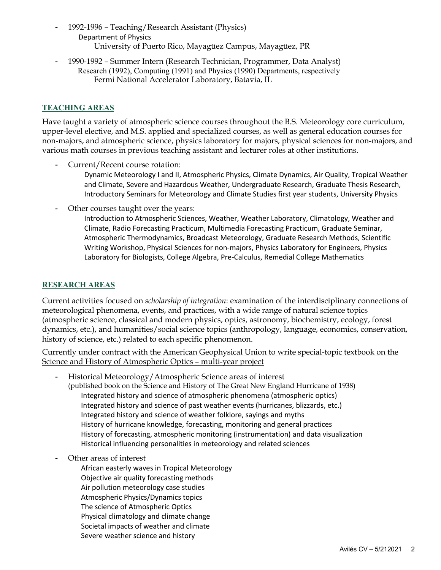- 1992-1996 Teaching/Research Assistant (Physics) Department of Physics University of Puerto Rico, Mayagüez Campus, Mayagüez, PR
- 1990-1992 Summer Intern (Research Technician, Programmer, Data Analyst) Research (1992), Computing (1991) and Physics (1990) Departments, respectively Fermi National Accelerator Laboratory, Batavia, IL

# **TEACHING AREAS**

Have taught a variety of atmospheric science courses throughout the B.S. Meteorology core curriculum, upper-level elective, and M.S. applied and specialized courses, as well as general education courses for non-majors, and atmospheric science, physics laboratory for majors, physical sciences for non-majors, and various math courses in previous teaching assistant and lecturer roles at other institutions.

- Current/Recent course rotation:

Dynamic Meteorology I and II, Atmospheric Physics, Climate Dynamics, Air Quality, Tropical Weather and Climate, Severe and Hazardous Weather, Undergraduate Research, Graduate Thesis Research, Introductory Seminars for Meteorology and Climate Studies first year students, University Physics

- Other courses taught over the years:

Introduction to Atmospheric Sciences, Weather, Weather Laboratory, Climatology, Weather and Climate, Radio Forecasting Practicum, Multimedia Forecasting Practicum, Graduate Seminar, Atmospheric Thermodynamics, Broadcast Meteorology, Graduate Research Methods, Scientific Writing Workshop, Physical Sciences for non-majors, Physics Laboratory for Engineers, Physics Laboratory for Biologists, College Algebra, Pre-Calculus, Remedial College Mathematics

## **RESEARCH AREAS**

Current activities focused on *scholarship of integration*: examination of the interdisciplinary connections of meteorological phenomena, events, and practices, with a wide range of natural science topics (atmospheric science, classical and modern physics, optics, astronomy, biochemistry, ecology, forest dynamics, etc.), and humanities/social science topics (anthropology, language, economics, conservation, history of science, etc.) related to each specific phenomenon.

Currently under contract with the American Geophysical Union to write special-topic textbook on the Science and History of Atmospheric Optics – multi-year project

- Historical Meteorology/Atmospheric Science areas of interest (published book on the Science and History of The Great New England Hurricane of 1938) Integrated history and science of atmospheric phenomena (atmospheric optics) Integrated history and science of past weather events (hurricanes, blizzards, etc.) Integrated history and science of weather folklore, sayings and myths History of hurricane knowledge, forecasting, monitoring and general practices History of forecasting, atmospheric monitoring (instrumentation) and data visualization Historical influencing personalities in meteorology and related sciences
- Other areas of interest

African easterly waves in Tropical Meteorology Objective air quality forecasting methods Air pollution meteorology case studies Atmospheric Physics/Dynamics topics The science of Atmospheric Optics Physical climatology and climate change Societal impacts of weather and climate Severe weather science and history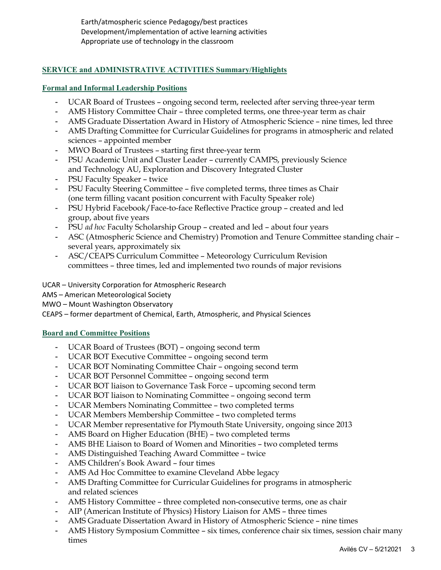Earth/atmospheric science Pedagogy/best practices Development/implementation of active learning activities Appropriate use of technology in the classroom

# **SERVICE and ADMINISTRATIVE ACTIVITIES Summary/Highlights**

## **Formal and Informal Leadership Positions**

- UCAR Board of Trustees ongoing second term, reelected after serving three-year term
- AMS History Committee Chair three completed terms, one three-year term as chair
- AMS Graduate Dissertation Award in History of Atmospheric Science nine times, led three
- AMS Drafting Committee for Curricular Guidelines for programs in atmospheric and related sciences – appointed member
- MWO Board of Trustees starting first three-year term
- PSU Academic Unit and Cluster Leader currently CAMPS, previously Science and Technology AU, Exploration and Discovery Integrated Cluster
- PSU Faculty Speaker twice
- PSU Faculty Steering Committee five completed terms, three times as Chair (one term filling vacant position concurrent with Faculty Speaker role)
- PSU Hybrid Facebook/Face-to-face Reflective Practice group created and led group, about five years
- PSU *ad hoc* Faculty Scholarship Group created and led about four years
- ASC (Atmospheric Science and Chemistry) Promotion and Tenure Committee standing chair several years, approximately six
- ASC/CEAPS Curriculum Committee Meteorology Curriculum Revision committees – three times, led and implemented two rounds of major revisions

UCAR – University Corporation for Atmospheric Research

AMS – American Meteorological Society

MWO – Mount Washington Observatory

CEAPS – former department of Chemical, Earth, Atmospheric, and Physical Sciences

## **Board and Committee Positions**

- UCAR Board of Trustees (BOT) ongoing second term
- UCAR BOT Executive Committee ongoing second term
- UCAR BOT Nominating Committee Chair ongoing second term
- UCAR BOT Personnel Committee ongoing second term
- UCAR BOT liaison to Governance Task Force upcoming second term
- UCAR BOT liaison to Nominating Committee ongoing second term
- UCAR Members Nominating Committee two completed terms
- UCAR Members Membership Committee two completed terms
- UCAR Member representative for Plymouth State University, ongoing since 2013
- AMS Board on Higher Education (BHE) two completed terms
- AMS BHE Liaison to Board of Women and Minorities two completed terms
- AMS Distinguished Teaching Award Committee twice
- AMS Children's Book Award four times
- AMS Ad Hoc Committee to examine Cleveland Abbe legacy
- AMS Drafting Committee for Curricular Guidelines for programs in atmospheric and related sciences
- AMS History Committee three completed non-consecutive terms, one as chair
- AIP (American Institute of Physics) History Liaison for AMS three times
- AMS Graduate Dissertation Award in History of Atmospheric Science nine times
- AMS History Symposium Committee six times, conference chair six times, session chair many times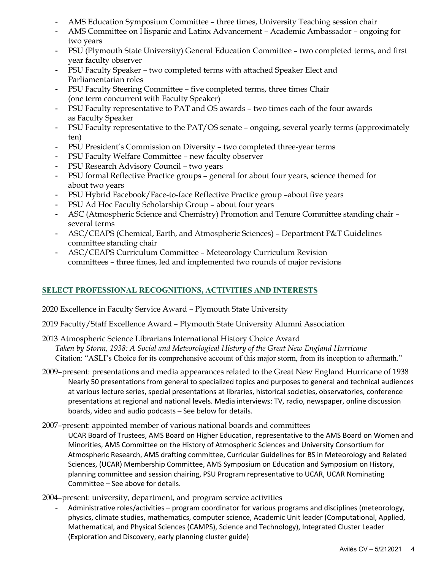- AMS Education Symposium Committee three times, University Teaching session chair
- AMS Committee on Hispanic and Latinx Advancement Academic Ambassador ongoing for two years
- PSU (Plymouth State University) General Education Committee two completed terms, and first year faculty observer
- PSU Faculty Speaker two completed terms with attached Speaker Elect and Parliamentarian roles
- PSU Faculty Steering Committee five completed terms, three times Chair (one term concurrent with Faculty Speaker)
- PSU Faculty representative to PAT and OS awards two times each of the four awards as Faculty Speaker
- PSU Faculty representative to the PAT/OS senate ongoing, several yearly terms (approximately ten)
- PSU President's Commission on Diversity two completed three-year terms
- PSU Faculty Welfare Committee new faculty observer
- PSU Research Advisory Council two years
- PSU formal Reflective Practice groups general for about four years, science themed for about two years
- PSU Hybrid Facebook/Face-to-face Reflective Practice group –about five years
- PSU Ad Hoc Faculty Scholarship Group about four years
- ASC (Atmospheric Science and Chemistry) Promotion and Tenure Committee standing chair several terms
- ASC/CEAPS (Chemical, Earth, and Atmospheric Sciences) Department P&T Guidelines committee standing chair
- ASC/CEAPS Curriculum Committee Meteorology Curriculum Revision committees – three times, led and implemented two rounds of major revisions

# **SELECT PROFESSIONAL RECOGNITIONS, ACTIVITIES AND INTERESTS**

- 2020 Excellence in Faculty Service Award Plymouth State University
- 2019 Faculty/Staff Excellence Award Plymouth State University Alumni Association
- 2013 Atmospheric Science Librarians International History Choice Award *Taken by Storm, 1938: A Social and Meteorological History of the Great New England Hurricane* Citation: "ASLI's Choice for its comprehensive account of this major storm, from its inception to aftermath."
- 2009–present: presentations and media appearances related to the Great New England Hurricane of 1938 Nearly 50 presentations from general to specialized topics and purposes to general and technical audiences at various lecture series, special presentations at libraries, historical societies, observatories, conference presentations at regional and national levels. Media interviews: TV, radio, newspaper, online discussion boards, video and audio podcasts – See below for details.
- 2007–present: appointed member of various national boards and committees
	- UCAR Board of Trustees, AMS Board on Higher Education, representative to the AMS Board on Women and Minorities, AMS Committee on the History of Atmospheric Sciences and University Consortium for Atmospheric Research, AMS drafting committee, Curricular Guidelines for BS in Meteorology and Related Sciences, (UCAR) Membership Committee, AMS Symposium on Education and Symposium on History, planning committee and session chairing, PSU Program representative to UCAR, UCAR Nominating Committee – See above for details.

2004–present: university, department, and program service activities

Administrative roles/activities - program coordinator for various programs and disciplines (meteorology, physics, climate studies, mathematics, computer science, Academic Unit leader (Computational, Applied, Mathematical, and Physical Sciences (CAMPS), Science and Technology), Integrated Cluster Leader (Exploration and Discovery, early planning cluster guide)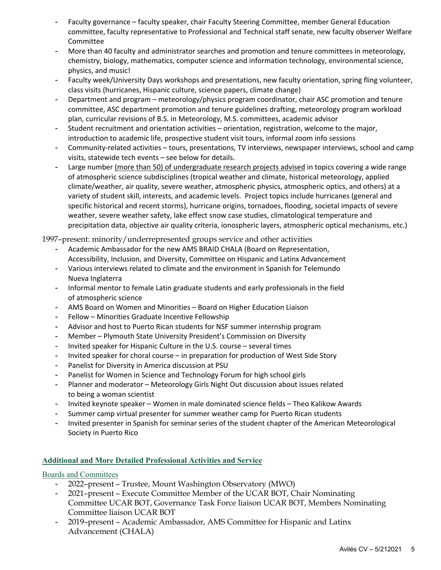- Faculty governance faculty speaker, chair Faculty Steering Committee, member General Education committee, faculty representative to Professional and Technical staff senate, new faculty observer Welfare Committee
- More than 40 faculty and administrator searches and promotion and tenure committees in meteorology, chemistry, biology, mathematics, computer science and information technology, environmental science, physics, and music!
- Faculty week/University Days workshops and presentations, new faculty orientation, spring fling volunteer, class visits (hurricanes, Hispanic culture, science papers, climate change)
- Department and program meteorology/physics program coordinator, chair ASC promotion and tenure committee, ASC department promotion and tenure guidelines drafting, meteorology program workload plan, curricular revisions of B.S. in Meteorology, M.S. committees, academic advisor
- Student recruitment and orientation activities orientation, registration, welcome to the major, introduction to academic life, prospective student visit tours, informal zoom info sessions
- Community-related activities tours, presentations, TV interviews, newspaper interviews, school and camp visits, statewide tech events – see below for details.
- Large number (more than 50) of undergraduate research projects advised in topics covering a wide range of atmospheric science subdisciplines (tropical weather and climate, historical meteorology, applied climate/weather, air quality, severe weather, atmospheric physics, atmospheric optics, and others) at a variety of student skill, interests, and academic levels. Project topics include hurricanes (general and specific historical and recent storms), hurricane origins, tornadoes, flooding, societal impacts of severe weather, severe weather safety, lake effect snow case studies, climatological temperature and precipitation data, objective air quality criteria, ionospheric layers, atmospheric optical mechanisms, etc.)

1997–present: minority/underrepresented groups service and other activities

- Academic Ambassador for the new AMS BRAID CHALA (Board on Representation, Accessibility, Inclusion, and Diversity, Committee on Hispanic and Latinx Advancement
- Various interviews related to climate and the environment in Spanish for Telemundo Nueva Inglaterra
- Informal mentor to female Latin graduate students and early professionals in the field of atmospheric science
- AMS Board on Women and Minorities Board on Higher Education Liaison
- Fellow Minorities Graduate Incentive Fellowship
- Advisor and host to Puerto Rican students for NSF summer internship program
- Member Plymouth State University President's Commission on Diversity
- Invited speaker for Hispanic Culture in the U.S. course several times
- Invited speaker for choral course in preparation for production of West Side Story
- Panelist for Diversity in America discussion at PSU
- Panelist for Women in Science and Technology Forum for high school girls
- Planner and moderator Meteorology Girls Night Out discussion about issues related to being a woman scientist
- Invited keynote speaker Women in male dominated science fields Theo Kalikow Awards
- Summer camp virtual presenter for summer weather camp for Puerto Rican students
- Invited presenter in Spanish for seminar series of the student chapter of the American Meteorological Society in Puerto Rico

# **Additional and More Detailed Professional Activities and Service**

Boards and Committees

- 2022–present Trustee, Mount Washington Observatory (MWO)
- 2021–present Execute Committee Member of the UCAR BOT, Chair Nominating Committee UCAR BOT, Governance Task Force liaison UCAR BOT, Members Nominating Committee liaison UCAR BOT
- 2019–present Academic Ambassador, AMS Committee for Hispanic and Latinx Advancement (CHALA)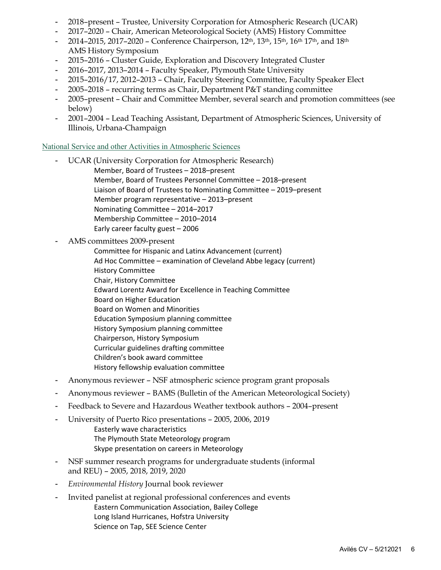- 2018–present Trustee, University Corporation for Atmospheric Research (UCAR)
- 2017–2020 Chair, American Meteorological Society (AMS) History Committee
- 2014–2015, 2017–2020 Conference Chairperson, 12th, 13th, 15th, 16th 17th, and 18th AMS History Symposium
- 2015–2016 Cluster Guide, Exploration and Discovery Integrated Cluster
- 2016–2017, 2013–2014 Faculty Speaker, Plymouth State University
- 2015–2016/17, 2012–2013 Chair, Faculty Steering Committee, Faculty Speaker Elect
- 2005–2018 recurring terms as Chair, Department P&T standing committee
- 2005–present Chair and Committee Member, several search and promotion committees (see below)
- 2001–2004 Lead Teaching Assistant, Department of Atmospheric Sciences, University of Illinois, Urbana-Champaign

# National Service and other Activities in Atmospheric Sciences

- UCAR (University Corporation for Atmospheric Research) Member, Board of Trustees – 2018–present Member, Board of Trustees Personnel Committee – 2018–present Liaison of Board of Trustees to Nominating Committee – 2019–present Member program representative – 2013–present Nominating Committee – 2014–2017 Membership Committee – 2010–2014 Early career faculty guest – 2006
- AMS committees 2009-present
	- Committee for Hispanic and Latinx Advancement (current) Ad Hoc Committee – examination of Cleveland Abbe legacy (current) History Committee Chair, History Committee Edward Lorentz Award for Excellence in Teaching Committee Board on Higher Education Board on Women and Minorities Education Symposium planning committee History Symposium planning committee Chairperson, History Symposium Curricular guidelines drafting committee Children's book award committee History fellowship evaluation committee
- Anonymous reviewer NSF atmospheric science program grant proposals
- Anonymous reviewer BAMS (Bulletin of the American Meteorological Society)
- Feedback to Severe and Hazardous Weather textbook authors 2004–present
- University of Puerto Rico presentations 2005, 2006, 2019 Easterly wave characteristics The Plymouth State Meteorology program Skype presentation on careers in Meteorology
- NSF summer research programs for undergraduate students (informal and REU) – 2005, 2018, 2019, 2020
- *Environmental History* Journal book reviewer
- Invited panelist at regional professional conferences and events Eastern Communication Association, Bailey College Long Island Hurricanes, Hofstra University Science on Tap, SEE Science Center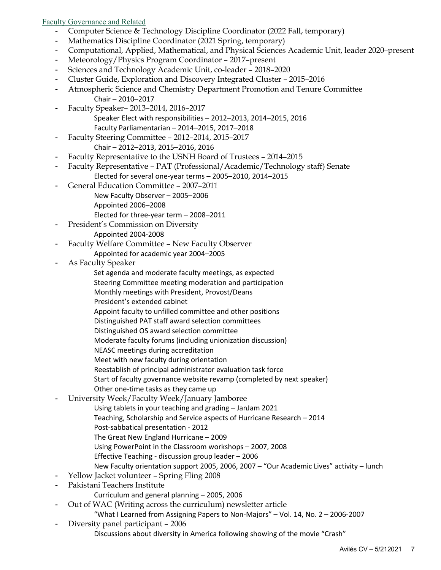# Faculty Governance and Related

- Computer Science & Technology Discipline Coordinator (2022 Fall, temporary)
- Mathematics Discipline Coordinator (2021 Spring, temporary)
- Computational, Applied, Mathematical, and Physical Sciences Academic Unit, leader 2020–present
- Meteorology/Physics Program Coordinator 2017–present
- Sciences and Technology Academic Unit, co-leader 2018–2020
- Cluster Guide, Exploration and Discovery Integrated Cluster 2015–2016
- Atmospheric Science and Chemistry Department Promotion and Tenure Committee Chair – 2010–2017
- Faculty Speaker– 2013–2014, 2016–2017 Speaker Elect with responsibilities – 2012–2013, 2014–2015, 2016
	- Faculty Parliamentarian 2014–2015, 2017–2018
- Faculty Steering Committee 2012–2014, 2015–2017 Chair – 2012–2013, 2015–2016, 2016
- Faculty Representative to the USNH Board of Trustees 2014–2015
- Faculty Representative PAT (Professional/Academic/Technology staff) Senate Elected for several one-year terms – 2005–2010, 2014–2015
- General Education Committee 2007–2011
	- New Faculty Observer 2005–2006
	- Appointed 2006–2008
	- Elected for three-year term 2008–2011
- President's Commission on Diversity
	- Appointed 2004-2008
- Faculty Welfare Committee New Faculty Observer
	- Appointed for academic year 2004–2005
- As Faculty Speaker
	- Set agenda and moderate faculty meetings, as expected
	- Steering Committee meeting moderation and participation
	- Monthly meetings with President, Provost/Deans
	- President's extended cabinet
	- Appoint faculty to unfilled committee and other positions
	- Distinguished PAT staff award selection committees
	- Distinguished OS award selection committee
	- Moderate faculty forums (including unionization discussion)
	- NEASC meetings during accreditation
	- Meet with new faculty during orientation
	- Reestablish of principal administrator evaluation task force
	- Start of faculty governance website revamp (completed by next speaker)
	- Other one-time tasks as they came up
- University Week/Faculty Week/January Jamboree
	- Using tablets in your teaching and grading JanJam 2021
	- Teaching, Scholarship and Service aspects of Hurricane Research 2014
	- Post-sabbatical presentation 2012
	- The Great New England Hurricane 2009
	- Using PowerPoint in the Classroom workshops 2007, 2008
	- Effective Teaching discussion group leader 2006
	- New Faculty orientation support 2005, 2006, 2007 "Our Academic Lives" activity lunch
- Yellow Jacket volunteer Spring Fling 2008
- Pakistani Teachers Institute
	- Curriculum and general planning 2005, 2006
- Out of WAC (Writing across the curriculum) newsletter article
	- "What I Learned from Assigning Papers to Non-Majors" Vol. 14, No. 2 2006-2007
- Diversity panel participant 2006 Discussions about diversity in America following showing of the movie "Crash"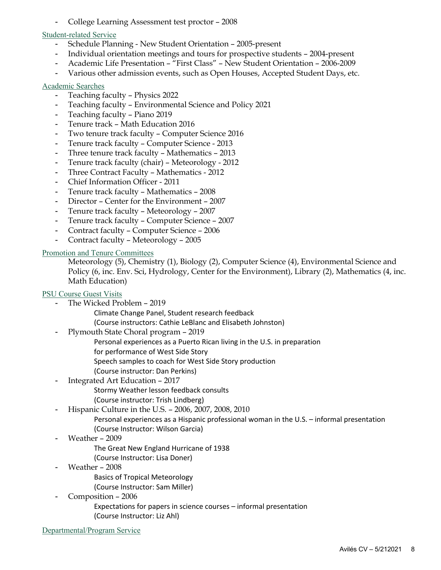- College Learning Assessment test proctor – 2008

## Student-related Service

- Schedule Planning New Student Orientation 2005-present
- Individual orientation meetings and tours for prospective students 2004-present
- Academic Life Presentation "First Class" New Student Orientation 2006-2009
- Various other admission events, such as Open Houses, Accepted Student Days, etc.

## Academic Searches

- Teaching faculty Physics 2022
- Teaching faculty Environmental Science and Policy 2021
- Teaching faculty Piano 2019
- Tenure track Math Education 2016
- Two tenure track faculty Computer Science 2016
- Tenure track faculty Computer Science 2013
- Three tenure track faculty Mathematics 2013
- Tenure track faculty (chair) Meteorology 2012
- Three Contract Faculty Mathematics 2012
- Chief Information Officer 2011
- Tenure track faculty Mathematics 2008
- Director Center for the Environment 2007
- Tenure track faculty Meteorology 2007
- Tenure track faculty Computer Science 2007
- Contract faculty Computer Science 2006
- Contract faculty Meteorology 2005

## Promotion and Tenure Committees

Meteorology (5), Chemistry (1), Biology (2), Computer Science (4), Environmental Science and Policy (6, inc. Env. Sci, Hydrology, Center for the Environment), Library (2), Mathematics (4, inc. Math Education)

## PSU Course Guest Visits

- The Wicked Problem 2019
	- Climate Change Panel, Student research feedback
	- (Course instructors: Cathie LeBlanc and Elisabeth Johnston)
- Plymouth State Choral program 2019
	- Personal experiences as a Puerto Rican living in the U.S. in preparation
	- for performance of West Side Story
		- Speech samples to coach for West Side Story production
	- (Course instructor: Dan Perkins)
- Integrated Art Education 2017
	- Stormy Weather lesson feedback consults
	- (Course instructor: Trish Lindberg)
- Hispanic Culture in the U.S. 2006, 2007, 2008, 2010
	- Personal experiences as a Hispanic professional woman in the U.S. informal presentation (Course Instructor: Wilson Garcia)
- Weather 2009
	- The Great New England Hurricane of 1938
	- (Course Instructor: Lisa Doner)
- Weather 2008
	- Basics of Tropical Meteorology
	- (Course Instructor: Sam Miller)
- Composition 2006

Expectations for papers in science courses – informal presentation (Course Instructor: Liz Ahl)

Departmental/Program Service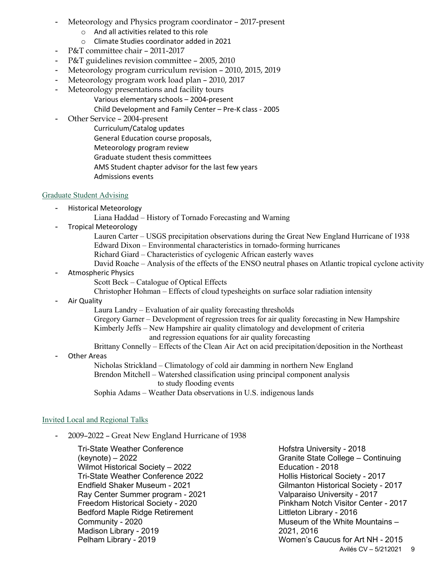- Meteorology and Physics program coordinator 2017-present
	- o And all activities related to this role
	- o Climate Studies coordinator added in 2021
- P&T committee chair 2011-2017
- P&T guidelines revision committee 2005, 2010
- Meteorology program curriculum revision 2010, 2015, 2019
- Meteorology program work load plan 2010, 2017
- Meteorology presentations and facility tours
	- Various elementary schools 2004-present
		- Child Development and Family Center Pre-K class 2005
- Other Service 2004-present
	- Curriculum/Catalog updates
	- General Education course proposals,
	- Meteorology program review
	- Graduate student thesis committees
	- AMS Student chapter advisor for the last few years
	- Admissions events

## Graduate Student Advising

- Historical Meteorology
	- Liana Haddad History of Tornado Forecasting and Warning
- Tropical Meteorology
	- Lauren Carter USGS precipitation observations during the Great New England Hurricane of 1938
	- Edward Dixon Environmental characteristics in tornado-forming hurricanes
	- Richard Giard Characteristics of cyclogenic African easterly waves
	- David Roache Analysis of the effects of the ENSO neutral phases on Atlantic tropical cyclone activity
- Atmospheric Physics
	- Scott Beck Catalogue of Optical Effects
	- Christopher Hohman Effects of cloud typesheights on surface solar radiation intensity
- Air Quality

Laura Landry – Evaluation of air quality forecasting thresholds

Gregory Garner – Development of regression trees for air quality forecasting in New Hampshire Kimberly Jeffs – New Hampshire air quality climatology and development of criteria and regression equations for air quality forecasting

Brittany Connelly – Effects of the Clean Air Act on acid precipitation/deposition in the Northeast

Other Areas

Nicholas Strickland – Climatology of cold air damming in northern New England Brendon Mitchell – Watershed classification using principal component analysis to study flooding events Sophia Adams – Weather Data observations in U.S. indigenous lands

## Invited Local and Regional Talks

- 2009–2022 – Great New England Hurricane of 1938

Tri-State Weather Conference (keynote) – 2022 Wilmot Historical Society – 2022 Tri-State Weather Conference 2022 Endfield Shaker Museum - 2021 Ray Center Summer program - 2021 Freedom Historical Society - 2020 Bedford Maple Ridge Retirement Community - 2020 Madison Library - 2019 Pelham Library - 2019

Avilés CV - 5/212021 9 Hofstra University - 2018 Granite State College – Continuing Education - 2018 Hollis Historical Society - 2017 Gilmanton Historical Society - 2017 Valparaiso University - 2017 Pinkham Notch Visitor Center - 2017 Littleton Library - 2016 Museum of the White Mountains – 2021, 2016 Women's Caucus for Art NH - 2015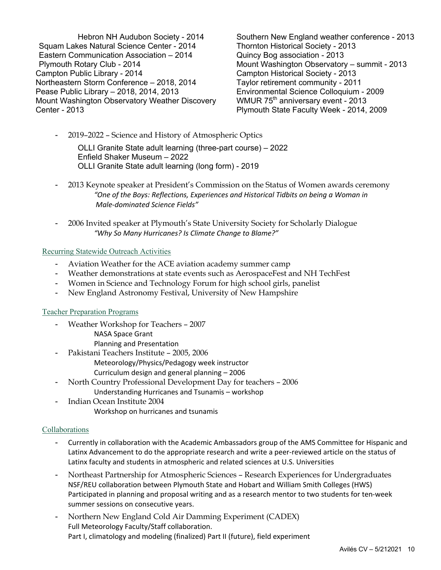Hebron NH Audubon Society - 2014 Squam Lakes Natural Science Center - 2014 Eastern Communication Association – 2014 Plymouth Rotary Club - 2014 Campton Public Library - 2014 Northeastern Storm Conference – 2018, 2014 Pease Public Library – 2018, 2014, 2013 Mount Washington Observatory Weather Discovery Center - 2013

Southern New England weather conference - 2013 Thornton Historical Society - 2013 Quincy Bog association - 2013 Mount Washington Observatory – summit - 2013 Campton Historical Society - 2013 Taylor retirement community - 2011 Environmental Science Colloquium - 2009 WMUR 75<sup>th</sup> anniversary event - 2013 Plymouth State Faculty Week - 2014, 2009

- 2019–2022 – Science and History of Atmospheric Optics

OLLI Granite State adult learning (three-part course) – 2022 Enfield Shaker Museum – 2022 OLLI Granite State adult learning (long form) - 2019

- 2013 Keynote speaker at President's Commission on the Status of Women awards ceremony *"One of the Boys: Reflections, Experiences and Historical Tidbits on being a Woman in Male-dominated Science Fields"*
- 2006 Invited speaker at Plymouth's State University Society for Scholarly Dialogue *"Why So Many Hurricanes? Is Climate Change to Blame?"*

#### Recurring Statewide Outreach Activities

- Aviation Weather for the ACE aviation academy summer camp
- Weather demonstrations at state events such as AerospaceFest and NH TechFest
- Women in Science and Technology Forum for high school girls, panelist
- New England Astronomy Festival, University of New Hampshire

#### Teacher Preparation Programs

- Weather Workshop for Teachers 2007
	- NASA Space Grant
	- Planning and Presentation
- Pakistani Teachers Institute 2005, 2006 Meteorology/Physics/Pedagogy week instructor Curriculum design and general planning – 2006
- North Country Professional Development Day for teachers 2006 Understanding Hurricanes and Tsunamis – workshop
- Indian Ocean Institute 2004 Workshop on hurricanes and tsunamis

## Collaborations

- Currently in collaboration with the Academic Ambassadors group of the AMS Committee for Hispanic and Latinx Advancement to do the appropriate research and write a peer-reviewed article on the status of Latinx faculty and students in atmospheric and related sciences at U.S. Universities
- Northeast Partnership for Atmospheric Sciences Research Experiences for Undergraduates NSF/REU collaboration between Plymouth State and Hobart and William Smith Colleges (HWS) Participated in planning and proposal writing and as a research mentor to two students for ten-week summer sessions on consecutive years.
- Northern New England Cold Air Damming Experiment (CADEX) Full Meteorology Faculty/Staff collaboration. Part I, climatology and modeling (finalized) Part II (future), field experiment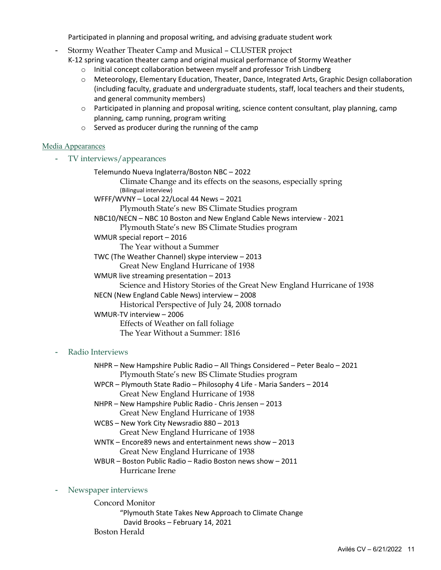Participated in planning and proposal writing, and advising graduate student work

- Stormy Weather Theater Camp and Musical – CLUSTER project

K-12 spring vacation theater camp and original musical performance of Stormy Weather

- o Initial concept collaboration between myself and professor Trish Lindberg
- o Meteorology, Elementary Education, Theater, Dance, Integrated Arts, Graphic Design collaboration (including faculty, graduate and undergraduate students, staff, local teachers and their students, and general community members)
- $\circ$  Participated in planning and proposal writing, science content consultant, play planning, camp planning, camp running, program writing
- o Served as producer during the running of the camp

# Media Appearances

- TV interviews/appearances

Telemundo Nueva Inglaterra/Boston NBC – 2022 Climate Change and its effects on the seasons, especially spring (Bilingual interview) WFFF/WVNY – Local 22/Local 44 News – 2021 Plymouth State's new BS Climate Studies program NBC10/NECN – NBC 10 Boston and New England Cable News interview - 2021 Plymouth State's new BS Climate Studies program WMUR special report – 2016 The Year without a Summer TWC (The Weather Channel) skype interview – 2013 Great New England Hurricane of 1938 WMUR live streaming presentation – 2013 Science and History Stories of the Great New England Hurricane of 1938 NECN (New England Cable News) interview – 2008 Historical Perspective of July 24, 2008 tornado WMUR-TV interview – 2006 Effects of Weather on fall foliage The Year Without a Summer: 1816

# - Radio Interviews

NHPR – New Hampshire Public Radio – All Things Considered – Peter Bealo – 2021 Plymouth State's new BS Climate Studies program

- WPCR Plymouth State Radio Philosophy 4 Life Maria Sanders 2014 Great New England Hurricane of 1938
- NHPR New Hampshire Public Radio Chris Jensen 2013 Great New England Hurricane of 1938
- WCBS New York City Newsradio 880 2013 Great New England Hurricane of 1938
- WNTK Encore89 news and entertainment news show 2013 Great New England Hurricane of 1938
- WBUR Boston Public Radio Radio Boston news show 2011 Hurricane Irene

# Newspaper interviews

Concord Monitor "Plymouth State Takes New Approach to Climate Change David Brooks – February 14, 2021 Boston Herald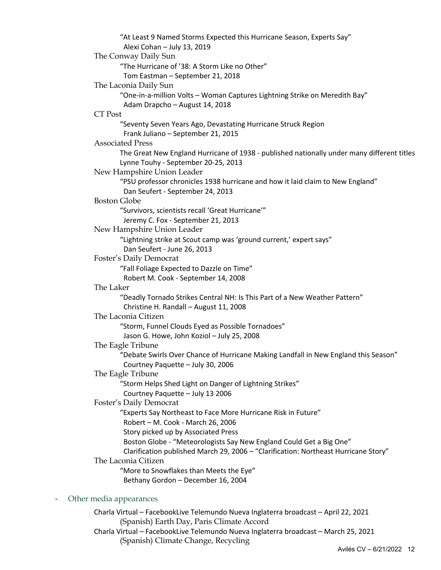"At Least 9 Named Storms Expected this Hurricane Season, Experts Say" Alexi Cohan – July 13, 2019 The Conway Daily Sun "The Hurricane of '38: A Storm Like no Other" Tom Eastman – September 21, 2018 The Laconia Daily Sun "One-in-a-million Volts – Woman Captures Lightning Strike on Meredith Bay" Adam Drapcho – August 14, 2018 CT Post "Seventy Seven Years Ago, Devastating Hurricane Struck Region Frank Juliano – September 21, 2015 Associated Press The Great New England Hurricane of 1938 - published nationally under many different titles Lynne Touhy - September 20-25, 2013 New Hampshire Union Leader "PSU professor chronicles 1938 hurricane and how it laid claim to New England" Dan Seufert - September 24, 2013 Boston Globe "Survivors, scientists recall 'Great Hurricane'" Jeremy C. Fox - September 21, 2013 New Hampshire Union Leader "Lightning strike at Scout camp was 'ground current,' expert says" Dan Seufert - June 26, 2013 Foster's Daily Democrat "Fall Foliage Expected to Dazzle on Time" Robert M. Cook - September 14, 2008 The Laker "Deadly Tornado Strikes Central NH: Is This Part of a New Weather Pattern" Christine H. Randall – August 11, 2008 The Laconia Citizen "Storm, Funnel Clouds Eyed as Possible Tornadoes" Jason G. Howe, John Koziol – July 25, 2008 The Eagle Tribune "Debate Swirls Over Chance of Hurricane Making Landfall in New England this Season" Courtney Paquette – July 30, 2006 The Eagle Tribune "Storm Helps Shed Light on Danger of Lightning Strikes" Courtney Paquette – July 13 2006 Foster's Daily Democrat "Experts Say Northeast to Face More Hurricane Risk in Future" Robert – M. Cook - March 26, 2006 Story picked up by Associated Press Boston Globe - "Meteorologists Say New England Could Get a Big One" Clarification published March 29, 2006 – "Clarification: Northeast Hurricane Story" The Laconia Citizen "More to Snowflakes than Meets the Eye" Bethany Gordon – December 16, 2004

# - Other media appearances

Charla Virtual – FacebookLive Telemundo Nueva Inglaterra broadcast – April 22, 2021 (Spanish) Earth Day, Paris Climate Accord Charla Virtual – FacebookLive Telemundo Nueva Inglaterra broadcast – March 25, 2021 (Spanish) Climate Change, Recycling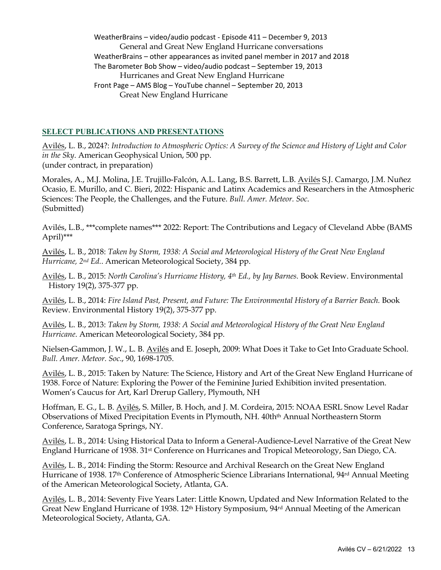WeatherBrains – video/audio podcast - Episode 411 – December 9, 2013 General and Great New England Hurricane conversations WeatherBrains – other appearances as invited panel member in 2017 and 2018 The Barometer Bob Show – video/audio podcast – September 19, 2013 Hurricanes and Great New England Hurricane Front Page – AMS Blog – YouTube channel – September 20, 2013 Great New England Hurricane

## **SELECT PUBLICATIONS AND PRESENTATIONS**

Avilés, L. B., 2024?: *Introduction to Atmospheric Optics: A Survey of the Science and History of Light and Color in the Sky*. American Geophysical Union, 500 pp. (under contract, in preparation)

Morales, A., M.J. Molina, J.E. Trujillo-Falcón, A.L. Lang, B.S. Barrett, L.B. Avilés S.J. Camargo, J.M. Nuñez Ocasio, E. Murillo, and C. Bieri, 2022: Hispanic and Latinx Academics and Researchers in the Atmospheric Sciences: The People, the Challenges, and the Future. *Bull. Amer. Meteor. Soc*. (Submitted)

Avilés, L.B., \*\*\*complete names\*\*\* 2022: Report: The Contributions and Legacy of Cleveland Abbe (BAMS April)\*\*\*

Avilés, L. B., 2018: *Taken by Storm, 1938: A Social and Meteorological History of the Great New England Hurricane, 2nd Ed.*. American Meteorological Society, 384 pp.

Avilés, L. B., 2015: *North Carolina's Hurricane History, 4th Ed., by Jay Barnes.* Book Review. Environmental History 19(2), 375-377 pp.

Avilés, L. B., 2014: *Fire Island Past, Present, and Future: The Environmental History of a Barrier Beach.* Book Review. Environmental History 19(2), 375-377 pp.

Avilés, L. B., 2013: *Taken by Storm, 1938: A Social and Meteorological History of the Great New England Hurricane*. American Meteorological Society, 384 pp.

Nielsen-Gammon, J. W., L. B. Avilés and E. Joseph, 2009: What Does it Take to Get Into Graduate School. *Bull. Amer. Meteor. Soc*., 90, 1698-1705.

Avilés, L. B., 2015: Taken by Nature: The Science, History and Art of the Great New England Hurricane of 1938. Force of Nature: Exploring the Power of the Feminine Juried Exhibition invited presentation. Women's Caucus for Art, Karl Drerup Gallery, Plymouth, NH

Hoffman, E. G., L. B. Avilés, S. Miller, B. Hoch, and J. M. Cordeira, 2015: NOAA ESRL Snow Level Radar Observations of Mixed Precipitation Events in Plymouth, NH. 40th<sup>th</sup> Annual Northeastern Storm Conference, Saratoga Springs, NY.

Avilés, L. B., 2014: Using Historical Data to Inform a General-Audience-Level Narrative of the Great New England Hurricane of 1938. 31st Conference on Hurricanes and Tropical Meteorology, San Diego, CA.

Avilés, L. B., 2014: Finding the Storm: Resource and Archival Research on the Great New England Hurricane of 1938. 17th Conference of Atmospheric Science Librarians International, 94rd Annual Meeting of the American Meteorological Society, Atlanta, GA.

Avilés, L. B., 2014: Seventy Five Years Later: Little Known, Updated and New Information Related to the Great New England Hurricane of 1938. 12th History Symposium, 94rd Annual Meeting of the American Meteorological Society, Atlanta, GA.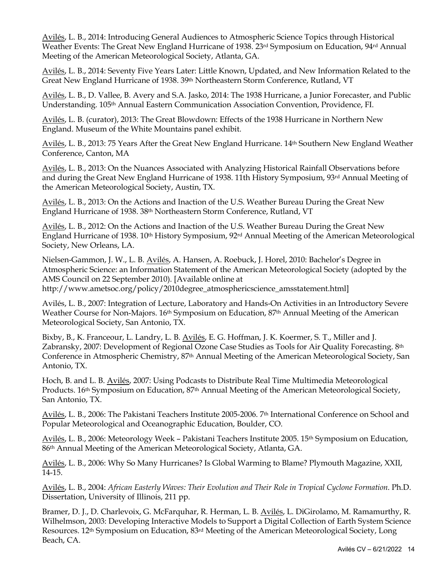Avilés, L. B., 2014: Introducing General Audiences to Atmospheric Science Topics through Historical Weather Events: The Great New England Hurricane of 1938. 23<sup>rd</sup> Symposium on Education, 94<sup>rd</sup> Annual Meeting of the American Meteorological Society, Atlanta, GA.

Avilés, L. B., 2014: Seventy Five Years Later: Little Known, Updated, and New Information Related to the Great New England Hurricane of 1938. 39<sup>th</sup> Northeastern Storm Conference, Rutland, VT

Avilés, L. B., D. Vallee, B. Avery and S.A. Jasko, 2014: The 1938 Hurricane, a Junior Forecaster, and Public Understanding. 105th Annual Eastern Communication Association Convention, Providence, FI.

Avilés, L. B. (curator), 2013: The Great Blowdown: Effects of the 1938 Hurricane in Northern New England. Museum of the White Mountains panel exhibit.

Avilés, L. B., 2013: 75 Years After the Great New England Hurricane. 14th Southern New England Weather Conference, Canton, MA

Avilés, L. B., 2013: On the Nuances Associated with Analyzing Historical Rainfall Observations before and during the Great New England Hurricane of 1938. 11th History Symposium, 93rd Annual Meeting of the American Meteorological Society, Austin, TX.

Avilés, L. B., 2013: On the Actions and Inaction of the U.S. Weather Bureau During the Great New England Hurricane of 1938. 38th Northeastern Storm Conference, Rutland, VT

Avilés, L. B., 2012: On the Actions and Inaction of the U.S. Weather Bureau During the Great New England Hurricane of 1938. 10th History Symposium, 92rd Annual Meeting of the American Meteorological Society, New Orleans, LA.

Nielsen-Gammon, J. W., L. B. Avilés, A. Hansen, A. Roebuck, J. Horel, 2010: Bachelor's Degree in Atmospheric Science: an Information Statement of the American Meteorological Society (adopted by the AMS Council on 22 September 2010). [Available online at http://www.ametsoc.org/policy/2010degree\_atmosphericscience\_amsstatement.html]

Avilés, L. B., 2007: Integration of Lecture, Laboratory and Hands-On Activities in an Introductory Severe Weather Course for Non-Majors. 16<sup>th</sup> Symposium on Education, 87<sup>th</sup> Annual Meeting of the American Meteorological Society, San Antonio, TX.

Bixby, B., K. Franceour, L. Landry, L. B. Avilés, E. G. Hoffman, J. K. Koermer, S. T., Miller and J. Zabransky, 2007: Development of Regional Ozone Case Studies as Tools for Air Quality Forecasting. 8th Conference in Atmospheric Chemistry, 87th Annual Meeting of the American Meteorological Society, San Antonio, TX.

Hoch, B. and L. B. Avilés, 2007: Using Podcasts to Distribute Real Time Multimedia Meteorological Products. 16th Symposium on Education, 87th Annual Meeting of the American Meteorological Society, San Antonio, TX.

Avilés, L. B., 2006: The Pakistani Teachers Institute 2005-2006. 7<sup>th</sup> International Conference on School and Popular Meteorological and Oceanographic Education, Boulder, CO.

Avilés, L. B., 2006: Meteorology Week – Pakistani Teachers Institute 2005. 15th Symposium on Education, 86th Annual Meeting of the American Meteorological Society, Atlanta, GA.

Avilés, L. B., 2006: Why So Many Hurricanes? Is Global Warming to Blame? Plymouth Magazine, XXII, 14-15.

Avilés, L. B., 2004: *African Easterly Waves: Their Evolution and Their Role in Tropical Cyclone Formation*. Ph.D. Dissertation, University of Illinois, 211 pp.

Bramer, D. J., D. Charlevoix, G. McFarquhar, R. Herman, L. B. Avilés, L. DiGirolamo, M. Ramamurthy, R. Wilhelmson, 2003: Developing Interactive Models to Support a Digital Collection of Earth System Science Resources. 12th Symposium on Education, 83rd Meeting of the American Meteorological Society, Long Beach, CA.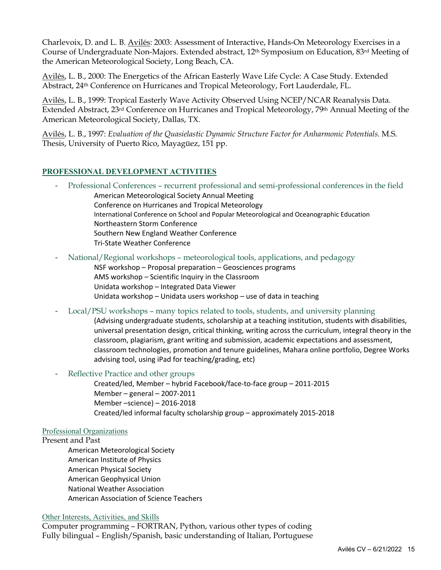Charlevoix, D. and L. B. Avilés: 2003: Assessment of Interactive, Hands-On Meteorology Exercises in a Course of Undergraduate Non-Majors. Extended abstract, 12th Symposium on Education, 83rd Meeting of the American Meteorological Society, Long Beach, CA.

Avilés, L. B., 2000: The Energetics of the African Easterly Wave Life Cycle: A Case Study. Extended Abstract, 24th Conference on Hurricanes and Tropical Meteorology, Fort Lauderdale, FL.

Avilés, L. B., 1999: Tropical Easterly Wave Activity Observed Using NCEP/NCAR Reanalysis Data. Extended Abstract, 23rd Conference on Hurricanes and Tropical Meteorology, 79th Annual Meeting of the American Meteorological Society, Dallas, TX.

Avilés, L. B., 1997: *Evaluation of the Quasielastic Dynamic Structure Factor for Anharmonic Potentials*. M.S. Thesis, University of Puerto Rico, Mayagüez, 151 pp.

# **PROFESSIONAL DEVELOPMENT ACTIVITIES**

- Professional Conferences recurrent professional and semi-professional conferences in the field American Meteorological Society Annual Meeting Conference on Hurricanes and Tropical Meteorology International Conference on School and Popular Meteorological and Oceanographic Education Northeastern Storm Conference Southern New England Weather Conference Tri-State Weather Conference
- National/Regional workshops meteorological tools, applications, and pedagogy
	- NSF workshop Proposal preparation Geosciences programs AMS workshop – Scientific Inquiry in the Classroom Unidata workshop – Integrated Data Viewer Unidata workshop – Unidata users workshop – use of data in teaching
- Local/PSU workshops many topics related to tools, students, and university planning
	- (Advising undergraduate students, scholarship at a teaching institution, students with disabilities, universal presentation design, critical thinking, writing across the curriculum, integral theory in the classroom, plagiarism, grant writing and submission, academic expectations and assessment, classroom technologies, promotion and tenure guidelines, Mahara online portfolio, Degree Works advising tool, using iPad for teaching/grading, etc)
- Reflective Practice and other groups

Created/led, Member – hybrid Facebook/face-to-face group – 2011-2015 Member – general – 2007-2011 Member –science) – 2016-2018 Created/led informal faculty scholarship group – approximately 2015-2018

# Professional Organizations

## Present and Past

American Meteorological Society American Institute of Physics American Physical Society American Geophysical Union National Weather Association American Association of Science Teachers

## Other Interests, Activities, and Skills

Computer programming – FORTRAN, Python, various other types of coding Fully bilingual – English/Spanish, basic understanding of Italian, Portuguese